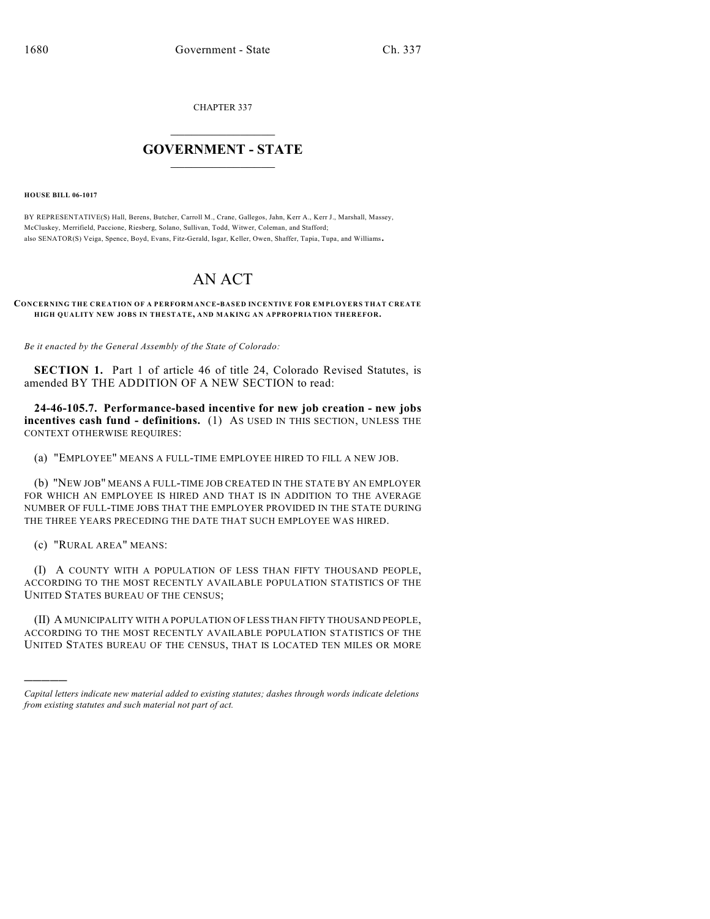CHAPTER 337

## $\overline{\phantom{a}}$  . The set of the set of the set of the set of the set of the set of the set of the set of the set of the set of the set of the set of the set of the set of the set of the set of the set of the set of the set o **GOVERNMENT - STATE**  $\_$

**HOUSE BILL 06-1017**

BY REPRESENTATIVE(S) Hall, Berens, Butcher, Carroll M., Crane, Gallegos, Jahn, Kerr A., Kerr J., Marshall, Massey, McCluskey, Merrifield, Paccione, Riesberg, Solano, Sullivan, Todd, Witwer, Coleman, and Stafford; also SENATOR(S) Veiga, Spence, Boyd, Evans, Fitz-Gerald, Isgar, Keller, Owen, Shaffer, Tapia, Tupa, and Williams.

## AN ACT

**CONCERNING THE CREATION OF A PERFORMANCE-BASED INCENTIVE FOR EMPLOYERS THAT CREATE HIGH QUALITY NEW JOBS IN THESTATE, AND MAKING AN APPROPRIATION THEREFOR.**

*Be it enacted by the General Assembly of the State of Colorado:*

**SECTION 1.** Part 1 of article 46 of title 24, Colorado Revised Statutes, is amended BY THE ADDITION OF A NEW SECTION to read:

**24-46-105.7. Performance-based incentive for new job creation - new jobs incentives cash fund - definitions.** (1) AS USED IN THIS SECTION, UNLESS THE CONTEXT OTHERWISE REQUIRES:

(a) "EMPLOYEE" MEANS A FULL-TIME EMPLOYEE HIRED TO FILL A NEW JOB.

(b) "NEW JOB" MEANS A FULL-TIME JOB CREATED IN THE STATE BY AN EMPLOYER FOR WHICH AN EMPLOYEE IS HIRED AND THAT IS IN ADDITION TO THE AVERAGE NUMBER OF FULL-TIME JOBS THAT THE EMPLOYER PROVIDED IN THE STATE DURING THE THREE YEARS PRECEDING THE DATE THAT SUCH EMPLOYEE WAS HIRED.

(c) "RURAL AREA" MEANS:

)))))

(I) A COUNTY WITH A POPULATION OF LESS THAN FIFTY THOUSAND PEOPLE, ACCORDING TO THE MOST RECENTLY AVAILABLE POPULATION STATISTICS OF THE UNITED STATES BUREAU OF THE CENSUS;

(II) A MUNICIPALITY WITH A POPULATION OF LESS THAN FIFTY THOUSAND PEOPLE, ACCORDING TO THE MOST RECENTLY AVAILABLE POPULATION STATISTICS OF THE UNITED STATES BUREAU OF THE CENSUS, THAT IS LOCATED TEN MILES OR MORE

*Capital letters indicate new material added to existing statutes; dashes through words indicate deletions from existing statutes and such material not part of act.*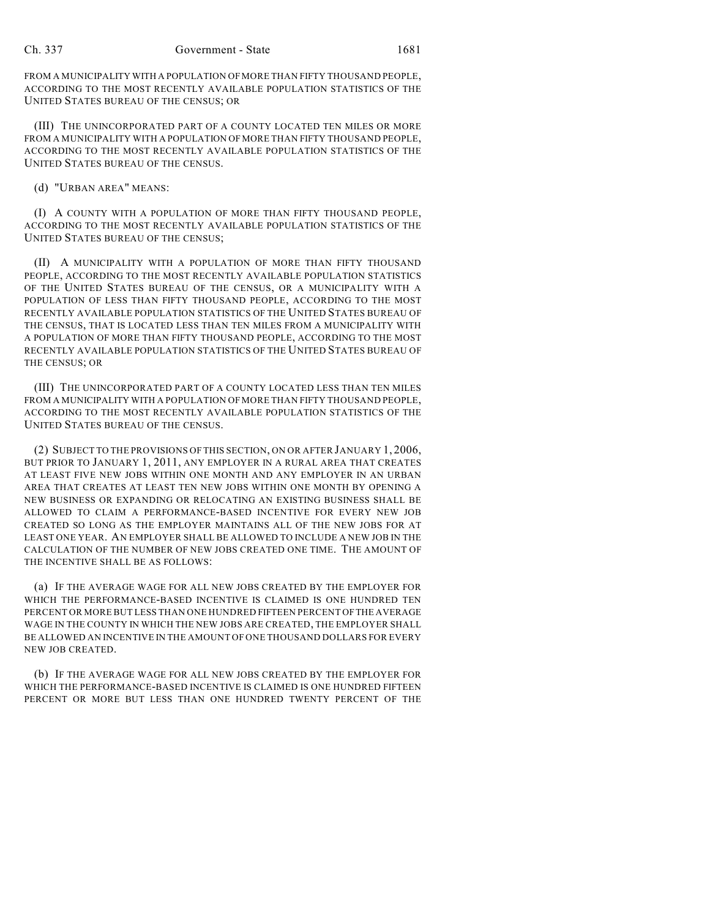FROM A MUNICIPALITY WITH A POPULATION OF MORE THAN FIFTY THOUSAND PEOPLE, ACCORDING TO THE MOST RECENTLY AVAILABLE POPULATION STATISTICS OF THE UNITED STATES BUREAU OF THE CENSUS; OR

(III) THE UNINCORPORATED PART OF A COUNTY LOCATED TEN MILES OR MORE FROM A MUNICIPALITY WITH A POPULATION OF MORE THAN FIFTY THOUSAND PEOPLE, ACCORDING TO THE MOST RECENTLY AVAILABLE POPULATION STATISTICS OF THE UNITED STATES BUREAU OF THE CENSUS.

(d) "URBAN AREA" MEANS:

(I) A COUNTY WITH A POPULATION OF MORE THAN FIFTY THOUSAND PEOPLE, ACCORDING TO THE MOST RECENTLY AVAILABLE POPULATION STATISTICS OF THE UNITED STATES BUREAU OF THE CENSUS;

(II) A MUNICIPALITY WITH A POPULATION OF MORE THAN FIFTY THOUSAND PEOPLE, ACCORDING TO THE MOST RECENTLY AVAILABLE POPULATION STATISTICS OF THE UNITED STATES BUREAU OF THE CENSUS, OR A MUNICIPALITY WITH A POPULATION OF LESS THAN FIFTY THOUSAND PEOPLE, ACCORDING TO THE MOST RECENTLY AVAILABLE POPULATION STATISTICS OF THE UNITED STATES BUREAU OF THE CENSUS, THAT IS LOCATED LESS THAN TEN MILES FROM A MUNICIPALITY WITH A POPULATION OF MORE THAN FIFTY THOUSAND PEOPLE, ACCORDING TO THE MOST RECENTLY AVAILABLE POPULATION STATISTICS OF THE UNITED STATES BUREAU OF THE CENSUS; OR

(III) THE UNINCORPORATED PART OF A COUNTY LOCATED LESS THAN TEN MILES FROM A MUNICIPALITY WITH A POPULATION OF MORE THAN FIFTY THOUSAND PEOPLE, ACCORDING TO THE MOST RECENTLY AVAILABLE POPULATION STATISTICS OF THE UNITED STATES BUREAU OF THE CENSUS.

(2) SUBJECT TO THE PROVISIONS OFTHIS SECTION, ON OR AFTER JANUARY 1, 2006, BUT PRIOR TO JANUARY 1, 2011, ANY EMPLOYER IN A RURAL AREA THAT CREATES AT LEAST FIVE NEW JOBS WITHIN ONE MONTH AND ANY EMPLOYER IN AN URBAN AREA THAT CREATES AT LEAST TEN NEW JOBS WITHIN ONE MONTH BY OPENING A NEW BUSINESS OR EXPANDING OR RELOCATING AN EXISTING BUSINESS SHALL BE ALLOWED TO CLAIM A PERFORMANCE-BASED INCENTIVE FOR EVERY NEW JOB CREATED SO LONG AS THE EMPLOYER MAINTAINS ALL OF THE NEW JOBS FOR AT LEAST ONE YEAR. AN EMPLOYER SHALL BE ALLOWED TO INCLUDE A NEW JOB IN THE CALCULATION OF THE NUMBER OF NEW JOBS CREATED ONE TIME. THE AMOUNT OF THE INCENTIVE SHALL BE AS FOLLOWS:

(a) IF THE AVERAGE WAGE FOR ALL NEW JOBS CREATED BY THE EMPLOYER FOR WHICH THE PERFORMANCE-BASED INCENTIVE IS CLAIMED IS ONE HUNDRED TEN PERCENT OR MORE BUT LESS THAN ONE HUNDRED FIFTEEN PERCENT OF THE AVERAGE WAGE IN THE COUNTY IN WHICH THE NEW JOBS ARE CREATED, THE EMPLOYER SHALL BE ALLOWED AN INCENTIVE IN THE AMOUNT OF ONE THOUSAND DOLLARS FOR EVERY NEW JOB CREATED.

(b) IF THE AVERAGE WAGE FOR ALL NEW JOBS CREATED BY THE EMPLOYER FOR WHICH THE PERFORMANCE-BASED INCENTIVE IS CLAIMED IS ONE HUNDRED FIFTEEN PERCENT OR MORE BUT LESS THAN ONE HUNDRED TWENTY PERCENT OF THE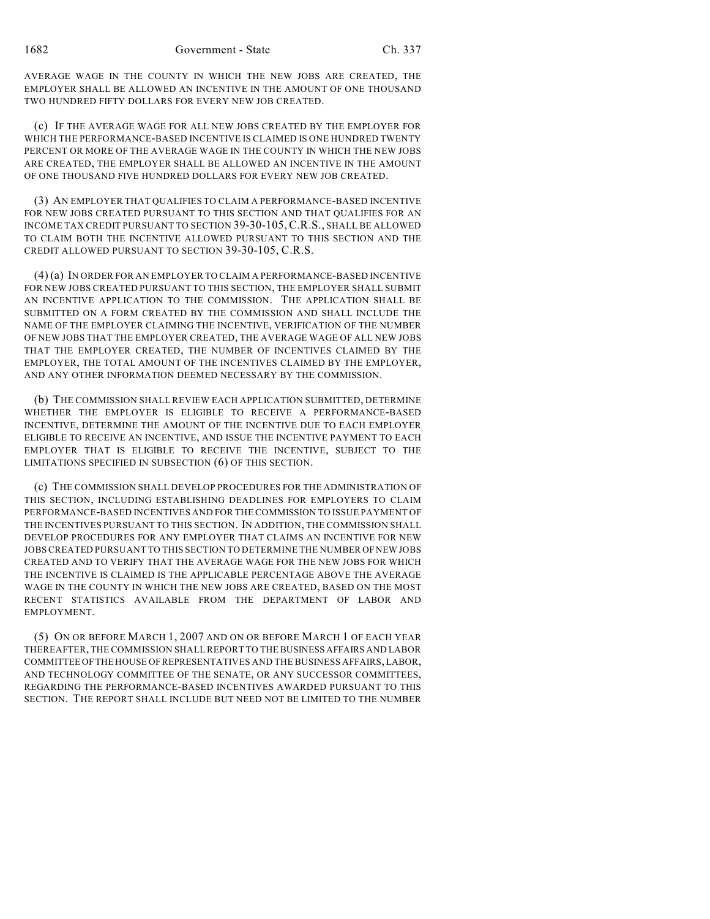AVERAGE WAGE IN THE COUNTY IN WHICH THE NEW JOBS ARE CREATED, THE EMPLOYER SHALL BE ALLOWED AN INCENTIVE IN THE AMOUNT OF ONE THOUSAND TWO HUNDRED FIFTY DOLLARS FOR EVERY NEW JOB CREATED.

(c) IF THE AVERAGE WAGE FOR ALL NEW JOBS CREATED BY THE EMPLOYER FOR WHICH THE PERFORMANCE-BASED INCENTIVE IS CLAIMED IS ONE HUNDRED TWENTY PERCENT OR MORE OF THE AVERAGE WAGE IN THE COUNTY IN WHICH THE NEW JOBS ARE CREATED, THE EMPLOYER SHALL BE ALLOWED AN INCENTIVE IN THE AMOUNT OF ONE THOUSAND FIVE HUNDRED DOLLARS FOR EVERY NEW JOB CREATED.

(3) AN EMPLOYER THAT QUALIFIES TO CLAIM A PERFORMANCE-BASED INCENTIVE FOR NEW JOBS CREATED PURSUANT TO THIS SECTION AND THAT QUALIFIES FOR AN INCOME TAX CREDIT PURSUANT TO SECTION 39-30-105, C.R.S., SHALL BE ALLOWED TO CLAIM BOTH THE INCENTIVE ALLOWED PURSUANT TO THIS SECTION AND THE CREDIT ALLOWED PURSUANT TO SECTION 39-30-105, C.R.S.

(4) (a) IN ORDER FOR AN EMPLOYER TO CLAIM A PERFORMANCE-BASED INCENTIVE FOR NEW JOBS CREATED PURSUANT TO THIS SECTION, THE EMPLOYER SHALL SUBMIT AN INCENTIVE APPLICATION TO THE COMMISSION. THE APPLICATION SHALL BE SUBMITTED ON A FORM CREATED BY THE COMMISSION AND SHALL INCLUDE THE NAME OF THE EMPLOYER CLAIMING THE INCENTIVE, VERIFICATION OF THE NUMBER OF NEW JOBS THAT THE EMPLOYER CREATED, THE AVERAGE WAGE OF ALL NEW JOBS THAT THE EMPLOYER CREATED, THE NUMBER OF INCENTIVES CLAIMED BY THE EMPLOYER, THE TOTAL AMOUNT OF THE INCENTIVES CLAIMED BY THE EMPLOYER, AND ANY OTHER INFORMATION DEEMED NECESSARY BY THE COMMISSION.

(b) THE COMMISSION SHALL REVIEW EACH APPLICATION SUBMITTED, DETERMINE WHETHER THE EMPLOYER IS ELIGIBLE TO RECEIVE A PERFORMANCE-BASED INCENTIVE, DETERMINE THE AMOUNT OF THE INCENTIVE DUE TO EACH EMPLOYER ELIGIBLE TO RECEIVE AN INCENTIVE, AND ISSUE THE INCENTIVE PAYMENT TO EACH EMPLOYER THAT IS ELIGIBLE TO RECEIVE THE INCENTIVE, SUBJECT TO THE LIMITATIONS SPECIFIED IN SUBSECTION (6) OF THIS SECTION.

(c) THE COMMISSION SHALL DEVELOP PROCEDURES FOR THE ADMINISTRATION OF THIS SECTION, INCLUDING ESTABLISHING DEADLINES FOR EMPLOYERS TO CLAIM PERFORMANCE-BASED INCENTIVES AND FOR THE COMMISSION TO ISSUE PAYMENT OF THE INCENTIVES PURSUANT TO THIS SECTION. IN ADDITION, THE COMMISSION SHALL DEVELOP PROCEDURES FOR ANY EMPLOYER THAT CLAIMS AN INCENTIVE FOR NEW JOBS CREATED PURSUANT TO THIS SECTION TO DETERMINE THE NUMBER OF NEW JOBS CREATED AND TO VERIFY THAT THE AVERAGE WAGE FOR THE NEW JOBS FOR WHICH THE INCENTIVE IS CLAIMED IS THE APPLICABLE PERCENTAGE ABOVE THE AVERAGE WAGE IN THE COUNTY IN WHICH THE NEW JOBS ARE CREATED, BASED ON THE MOST RECENT STATISTICS AVAILABLE FROM THE DEPARTMENT OF LABOR AND EMPLOYMENT.

(5) ON OR BEFORE MARCH 1, 2007 AND ON OR BEFORE MARCH 1 OF EACH YEAR THEREAFTER, THE COMMISSION SHALL REPORT TO THE BUSINESS AFFAIRS AND LABOR COMMITTEE OF THE HOUSE OF REPRESENTATIVES AND THE BUSINESS AFFAIRS, LABOR, AND TECHNOLOGY COMMITTEE OF THE SENATE, OR ANY SUCCESSOR COMMITTEES, REGARDING THE PERFORMANCE-BASED INCENTIVES AWARDED PURSUANT TO THIS SECTION. THE REPORT SHALL INCLUDE BUT NEED NOT BE LIMITED TO THE NUMBER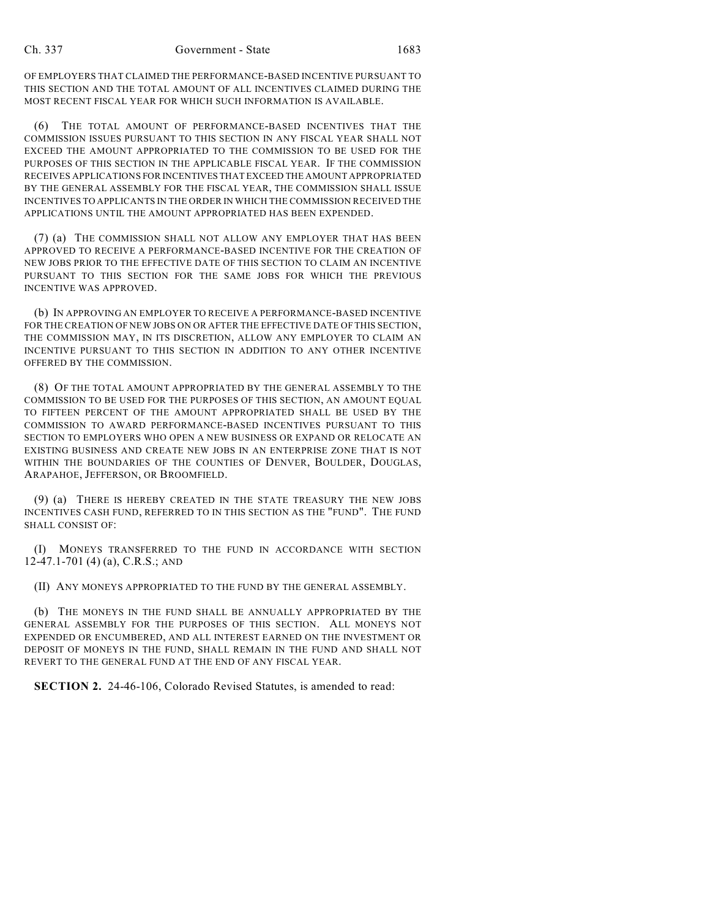OF EMPLOYERS THAT CLAIMED THE PERFORMANCE-BASED INCENTIVE PURSUANT TO THIS SECTION AND THE TOTAL AMOUNT OF ALL INCENTIVES CLAIMED DURING THE MOST RECENT FISCAL YEAR FOR WHICH SUCH INFORMATION IS AVAILABLE.

(6) THE TOTAL AMOUNT OF PERFORMANCE-BASED INCENTIVES THAT THE COMMISSION ISSUES PURSUANT TO THIS SECTION IN ANY FISCAL YEAR SHALL NOT EXCEED THE AMOUNT APPROPRIATED TO THE COMMISSION TO BE USED FOR THE PURPOSES OF THIS SECTION IN THE APPLICABLE FISCAL YEAR. IF THE COMMISSION RECEIVES APPLICATIONS FOR INCENTIVES THAT EXCEED THE AMOUNT APPROPRIATED BY THE GENERAL ASSEMBLY FOR THE FISCAL YEAR, THE COMMISSION SHALL ISSUE INCENTIVES TO APPLICANTS IN THE ORDER IN WHICH THE COMMISSION RECEIVED THE APPLICATIONS UNTIL THE AMOUNT APPROPRIATED HAS BEEN EXPENDED.

(7) (a) THE COMMISSION SHALL NOT ALLOW ANY EMPLOYER THAT HAS BEEN APPROVED TO RECEIVE A PERFORMANCE-BASED INCENTIVE FOR THE CREATION OF NEW JOBS PRIOR TO THE EFFECTIVE DATE OF THIS SECTION TO CLAIM AN INCENTIVE PURSUANT TO THIS SECTION FOR THE SAME JOBS FOR WHICH THE PREVIOUS INCENTIVE WAS APPROVED.

(b) IN APPROVING AN EMPLOYER TO RECEIVE A PERFORMANCE-BASED INCENTIVE FOR THE CREATION OF NEW JOBS ON OR AFTER THE EFFECTIVE DATE OF THIS SECTION, THE COMMISSION MAY, IN ITS DISCRETION, ALLOW ANY EMPLOYER TO CLAIM AN INCENTIVE PURSUANT TO THIS SECTION IN ADDITION TO ANY OTHER INCENTIVE OFFERED BY THE COMMISSION.

(8) OF THE TOTAL AMOUNT APPROPRIATED BY THE GENERAL ASSEMBLY TO THE COMMISSION TO BE USED FOR THE PURPOSES OF THIS SECTION, AN AMOUNT EQUAL TO FIFTEEN PERCENT OF THE AMOUNT APPROPRIATED SHALL BE USED BY THE COMMISSION TO AWARD PERFORMANCE-BASED INCENTIVES PURSUANT TO THIS SECTION TO EMPLOYERS WHO OPEN A NEW BUSINESS OR EXPAND OR RELOCATE AN EXISTING BUSINESS AND CREATE NEW JOBS IN AN ENTERPRISE ZONE THAT IS NOT WITHIN THE BOUNDARIES OF THE COUNTIES OF DENVER, BOULDER, DOUGLAS, ARAPAHOE, JEFFERSON, OR BROOMFIELD.

(9) (a) THERE IS HEREBY CREATED IN THE STATE TREASURY THE NEW JOBS INCENTIVES CASH FUND, REFERRED TO IN THIS SECTION AS THE "FUND". THE FUND SHALL CONSIST OF:

(I) MONEYS TRANSFERRED TO THE FUND IN ACCORDANCE WITH SECTION 12-47.1-701 (4) (a), C.R.S.; AND

(II) ANY MONEYS APPROPRIATED TO THE FUND BY THE GENERAL ASSEMBLY.

(b) THE MONEYS IN THE FUND SHALL BE ANNUALLY APPROPRIATED BY THE GENERAL ASSEMBLY FOR THE PURPOSES OF THIS SECTION. ALL MONEYS NOT EXPENDED OR ENCUMBERED, AND ALL INTEREST EARNED ON THE INVESTMENT OR DEPOSIT OF MONEYS IN THE FUND, SHALL REMAIN IN THE FUND AND SHALL NOT REVERT TO THE GENERAL FUND AT THE END OF ANY FISCAL YEAR.

**SECTION 2.** 24-46-106, Colorado Revised Statutes, is amended to read: